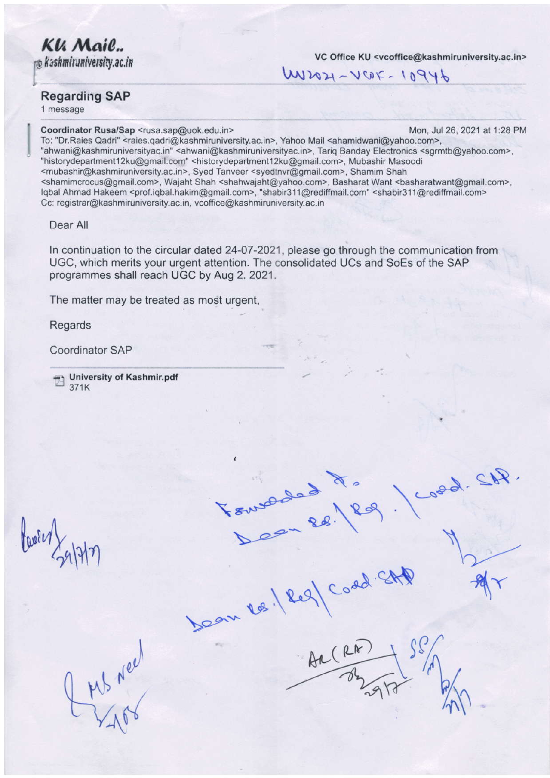**Kli Mail..**<br>no Kashmiruniversity.ac.in

VC Office KU <vcoffice@kashmiruniversity.ac.in>

 $U$ 

 $T = \frac{1}{\sqrt{2\pi}} \cdot \frac{1}{\sqrt{2\pi}} \cdot \frac{1}{\sqrt{2\pi}}$ 

N

 $\overline{\mathcal{C}}$ 

 $\bigwedge$ 

,

## Regarding SAP

1 message

Coordinator Rusa/Sap <rusa.sap@uok.edu.in> [,400, 2021 at 1:28 PM] Mon, Jul 26, 2021 at 1:28 PM

 $\sqrt{2}$ 

 $\mathcal{A}$ 

To: "Dr.Raies Qadri" <raies.qadri@kashmiruniversity.ac.in>, Yahoo Mail <ahamidwani@yahoo.com>, "ahwani@kashmiruniversityac.in" <ahwani@kashmiruniversityac.in>, Tariq Banday Electronics <sgrmtb@yahoo.com>, "historydepartment12ku@gmail.com" <historydepartment12ku@gmail.com>, Mubashir Masoodi <mubashir@kashmiruniversity.ac.in>, Syed Tanveer <syedlnvr@gmail.com>, Shamim Shah <shamimcrocus@gmail.com>, Wajahl Shah <shahwajaht@yahoo.com>, Easharal Want <basharalwanl@gmail.com>, lqbal Ahmad Hakeem <prof.iqbal.hakim@gmail.com>, "shabir311@rediffmail.com" <shabir311@rediffmail.com> Cc: registrar@kashmiruniversity.ac.in, vcoffice@kashmiruniversity.ac.in

Dear All

ln continuation to the circular dated 24-07-2021, please go through the communication from UGC, which merits your urgent attention. The consolidated UCs and SoEs of the SAP programmes shall reach UGC by Aug 2. 2021.

 $\Delta e^2$ 

 $\sqrt{2g}$ 

108. 209/ Coda

The matter may be treated as most urgent,

Regards

Coordinator SAP

University of Kashmir.pdf 371K

 $\frac{\ln n}{\log n}$ 

 $\mu_{\rm b}$  ,  $\mu_{\rm b}$  ,  $\mu_{\rm b}$  $Y_1$ 6